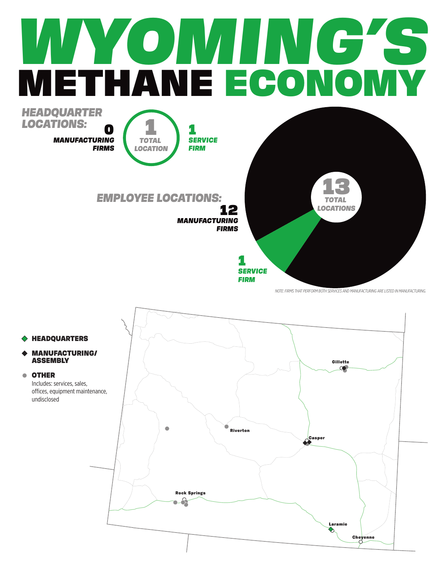